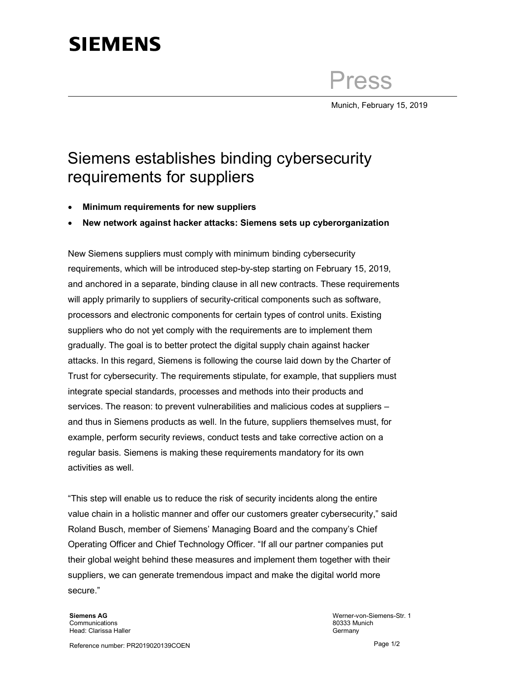## **SIEMENS**

Press

Munich, February 15, 2019

## Siemens establishes binding cybersecurity requirements for suppliers

- Minimum requirements for new suppliers
- New network against hacker attacks: Siemens sets up cyberorganization

New Siemens suppliers must comply with minimum binding cybersecurity requirements, which will be introduced step-by-step starting on February 15, 2019, and anchored in a separate, binding clause in all new contracts. These requirements will apply primarily to suppliers of security-critical components such as software, processors and electronic components for certain types of control units. Existing suppliers who do not yet comply with the requirements are to implement them gradually. The goal is to better protect the digital supply chain against hacker attacks. In this regard, Siemens is following the course laid down by the Charter of Trust for cybersecurity. The requirements stipulate, for example, that suppliers must integrate special standards, processes and methods into their products and services. The reason: to prevent vulnerabilities and malicious codes at suppliers – and thus in Siemens products as well. In the future, suppliers themselves must, for example, perform security reviews, conduct tests and take corrective action on a regular basis. Siemens is making these requirements mandatory for its own activities as well.

"This step will enable us to reduce the risk of security incidents along the entire value chain in a holistic manner and offer our customers greater cybersecurity," said Roland Busch, member of Siemens' Managing Board and the company's Chief Operating Officer and Chief Technology Officer. "If all our partner companies put their global weight behind these measures and implement them together with their suppliers, we can generate tremendous impact and make the digital world more secure."

Siemens AG **Communications** Head: Clarissa Haller

Werner-von-Siemens-Str. 1 80333 Munich Germany